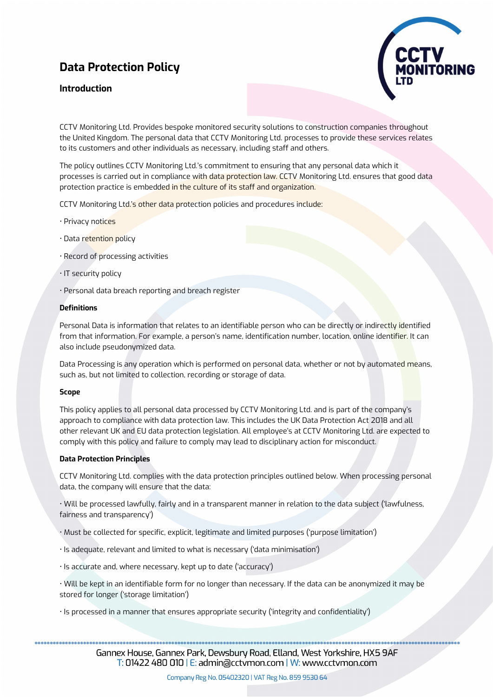# **Data Protection Policy**

## **Introduction**



CCTV Monitoring Ltd. Provides bespoke monitored security solutions to construction companies throughout the United Kingdom. The personal data that CCTV Monitoring Ltd. processes to provide these services relates to its customers and other individuals as necessary, including staff and others.

The policy outlines CCTV Monitoring Ltd.'s commitment to ensuring that any personal data which it processes is carried out in compliance with data protection law. CCTV Monitoring Ltd. ensures that good data protection practice is embedded in the culture of its staff and organization.

CCTV Monitoring Ltd.'s other data protection policies and procedures include:

- Privacy notices
- Data retention policy
- Record of processing activities
- IT security policy
- Personal data breach reporting and breach register

## **Definitions**

Personal Data is information that relates to an identifiable person who can be directly or indirectly identified from that information. For example, a person's name, identification number, location, online identifier. It can also include pseudonymized data.

Data Processing is any operation which is performed on personal data, whether or not by automated means, such as, but not limited to collection, recording or storage of data.

## **Scope**

This policy applies to all personal data processed by CCTV Monitoring Ltd. and is part of the company's approach to compliance with data protection law. This includes the UK Data Protection Act 2018 and all other relevant UK and EU data protection legislation. All employee's at CCTV Monitoring Ltd. are expected to comply with this policy and failure to comply may lead to disciplinary action for misconduct.

## **Data Protection Principles**

CCTV Monitoring Ltd. complies with the data protection principles outlined below. When processing personal data, the company will ensure that the data:

• Will be processed lawfully, fairly and in a transparent manner in relation to the data subject ('lawfulness, fairness and transparency')

• Must be collected for specific, explicit, legitimate and limited purposes ('purpose limitation')

- Is adequate, relevant and limited to what is necessary ('data minimisation')
- Is accurate and, where necessary, kept up to date ('accuracy')
- Will be kept in an identifiable form for no longer than necessary. If the data can be anonymized it may be stored for longer ('storage limitation')
- Is processed in a manner that ensures appropriate security ('integrity and confidentiality')

Gannex House, Gannex Park, Dewsbury Road, Elland, West Yorkshire, HX5 9AF  $\overline{T}$ : 01422 480 010 | E: admin@cctvmon.com | W: www.cctvmon.com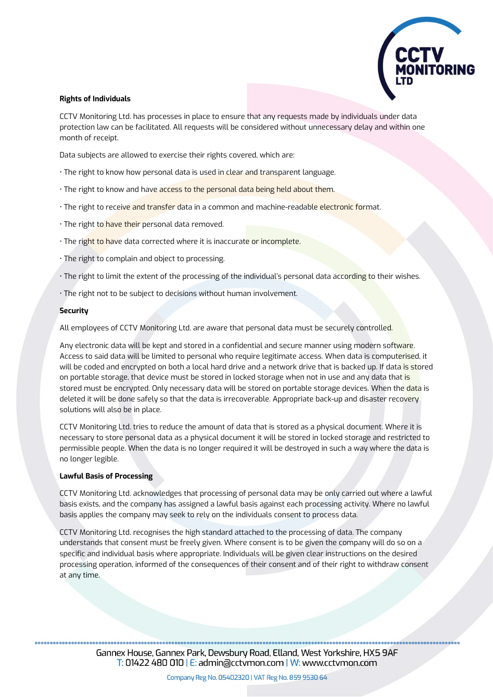

## **Rights of Individuals**

CCTV Monitoring Ltd. has processes in place to ensure that any requests made by individuals under data protection law can be facilitated. All requests will be considered without unnecessary delay and within one month of receipt.

Data subjects are allowed to exercise their rights covered, which are:

- The right to know how personal data is used in clear and transparent language.
- The right to know and have access to the personal data being held about them.
- The right to receive and transfer data in a common and machine-readable electronic format.
- · The right to have their personal data removed.
- The right to have data corrected where it is inaccurate or incomplete.
- The right to complain and object to processing.
- The right to limit the extent of the processing of the individual's personal data according to their wishes.
- The right not to be subject to decisions without human involvement.

## **Security**

All employees of CCTV Monitoring Ltd. are aware that personal data must be securely controlled.

Any electronic data will be kept and stored in a confidential and secure manner using modern software. Access to said data will be limited to personal who require legitimate access. When data is computerised, it will be coded and encrypted on both a local hard drive and a network drive that is backed up. If data is stored on portable storage, that device must be stored in locked storage when not in use and any data that is stored must be encrypted. Only necessary data will be stored on portable storage devices. When the data is deleted it will be done safely so that the data is irrecoverable. Appropriate back-up and disaster recovery solutions will also be in place.

CCTV Monitoring Ltd. tries to reduce the amount of data that is stored as a physical document. Where it is necessary to store personal data as a physical document it will be stored in locked storage and restricted to permissible people. When the data is no longer required it will be destroyed in such a way where the data is no longer legible.

## **Lawful Basis of Processing**

CCTV Monitoring Ltd. acknowledges that processing of personal data may be only carried out where a lawful basis exists, and the company has assigned a lawful basis against each processing activity. Where no lawful basis applies the company may seek to rely on the individuals consent to process data.

CCTV Monitoring Ltd. recognises the high standard attached to the processing of data. The company understands that consent must be freely given. Where consent is to be given the company will do so on a specific and individual basis where appropriate. Individuals will be given clear instructions on the desired processing operation, informed of the consequences of their consent and of their right to withdraw consent at any time.

Gannex House, Gannex Park, Dewsbury Road, Elland, West Yorkshire, HX5 9AF  $\overline{T}$ : 01422 480 010 | E: admin@cctvmon.com | W: www.cctvmon.com